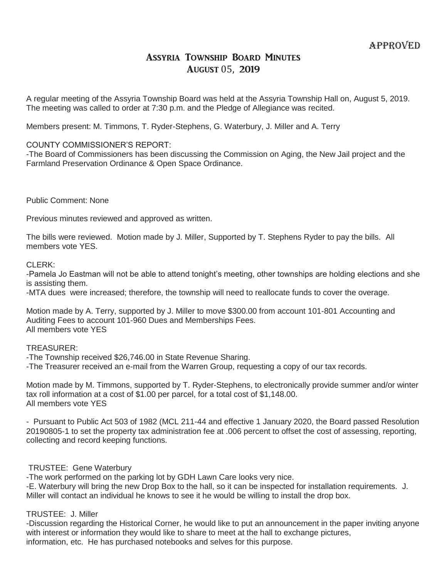# Assyria Township Board Minutes August 05, 2019

A regular meeting of the Assyria Township Board was held at the Assyria Township Hall on, August 5, 2019. The meeting was called to order at 7:30 p.m. and the Pledge of Allegiance was recited.

Members present: M. Timmons, T. Ryder-Stephens, G. Waterbury, J. Miller and A. Terry

## COUNTY COMMISSIONER'S REPORT:

-The Board of Commissioners has been discussing the Commission on Aging, the New Jail project and the Farmland Preservation Ordinance & Open Space Ordinance.

Public Comment: None

Previous minutes reviewed and approved as written.

The bills were reviewed. Motion made by J. Miller, Supported by T. Stephens Ryder to pay the bills. All members vote YES.

CLERK:

-Pamela Jo Eastman will not be able to attend tonight's meeting, other townships are holding elections and she is assisting them.

-MTA dues were increased; therefore, the township will need to reallocate funds to cover the overage.

Motion made by A. Terry, supported by J. Miller to move \$300.00 from account 101-801 Accounting and Auditing Fees to account 101-960 Dues and Memberships Fees. All members vote YES

TREASURER:

- -The Township received \$26,746.00 in State Revenue Sharing.
- -The Treasurer received an e-mail from the Warren Group, requesting a copy of our tax records.

Motion made by M. Timmons, supported by T. Ryder-Stephens, to electronically provide summer and/or winter tax roll information at a cost of \$1.00 per parcel, for a total cost of \$1,148.00. All members vote YES

- Pursuant to Public Act 503 of 1982 (MCL 211-44 and effective 1 January 2020, the Board passed Resolution 20190805-1 to set the property tax administration fee at .006 percent to offset the cost of assessing, reporting, collecting and record keeping functions.

## TRUSTEE: Gene Waterbury

-The work performed on the parking lot by GDH Lawn Care looks very nice.

-E. Waterbury will bring the new Drop Box to the hall, so it can be inspected for installation requirements. J. Miller will contact an individual he knows to see it he would be willing to install the drop box.

## TRUSTEE: J. Miller

-Discussion regarding the Historical Corner, he would like to put an announcement in the paper inviting anyone with interest or information they would like to share to meet at the hall to exchange pictures, information, etc. He has purchased notebooks and selves for this purpose.